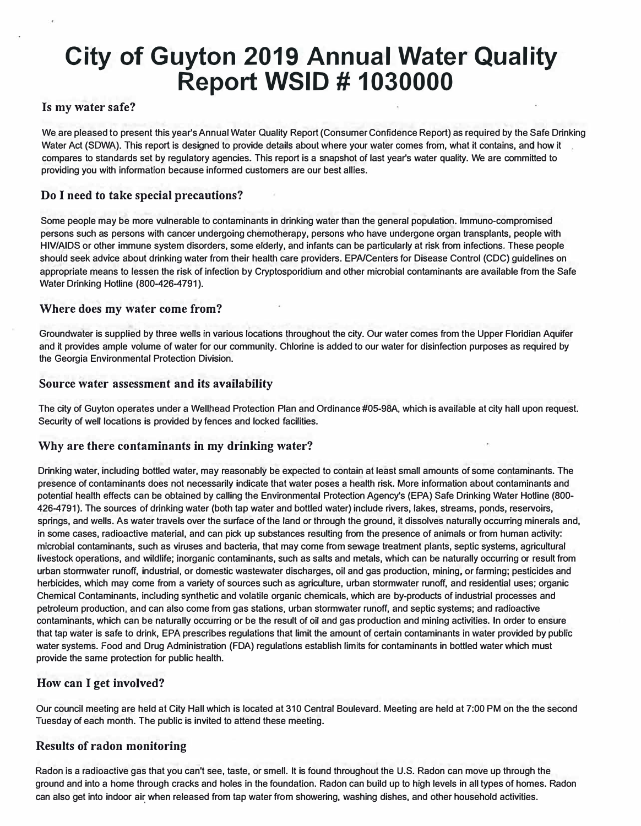# **City of Guyton 2019 Annual Water Quality Report WSID # 1030000**

#### **Is my water safe?**

We are pleased to present this year's Annual Water Quality Report (Consumer Confidence Report) as required by the Safe Drinking Water Act (SOWA). This report is designed to provide details about where your water comes from, what it contains, and how it compares to standards set by regulatory agencies. This report is a snapshot of last year's water quality. We are committed to providing you with information because informed customers are our best allies.

### **Do I need to take special precautions?**

Some people may be more vulnerable to contaminants in drinking water than the general population. lmmuno-compromised persons such as persons with cancer undergoing chemotherapy, persons who have undergone organ transplants, people with HIV/AIDS or other immune system disorders, some elderly, and infants can be particularly at risk from infections. These people should seek advice about drinking water from their health care providers. EPAfCenters for Disease Control {CDC) guidelines on appropriate means to lessen the risk of infection by Cryptosporidium and other microbial contaminants are available from the Safe Water Drinking Hotline (800-426-4791).

#### **Where does my water come from?**

Groundwater is supplied by three wells in various locations throughout the city. Our water comes from the Upper Floridian Aquifer and it provides ample volume of water for our community. Chlorine is added to our water for disinfection purposes as required by the Georgia Environmental Protection Division.

#### **Source water assessment and its availability**

The city of Guyton operates under a Wellhead Protection Plan and Ordinance #05-98A, which is available at city hall upon request. Security of well locations is provided by fences and locked facilities.

#### **Why are there contaminants in my drinking water?**

Drinking water, including bottled water, may reasonably be expected to contain at least small amounts of some contaminants. The presence of contaminants does not necessarily indicate that water poses a health risk. More information about contaminants and potential health effects can be obtained by calling the Environmental Protection Agency's {EPA) Safe Drinking Water Hotline {800- 426-4791). The sources of drinking water (both tap water and bottled water) include rivers, lakes, streams, ponds, reservoirs, springs, and wells. As water travels over the surface of the land or through the ground, it dissolves naturally occurring minerals and, in some cases, radioactive material, and can pick up substances resulting from the presence of animals or from human activity: microbial contaminants, such as viruses and bacteria, that may come from sewage treatment plants, septic systems, agricultural livestock operations, and wildlife; inorganic contaminants, such as salts and metals, which can be naturally occurring or result from urban stormwater runoff, industrial, or domestic wastewater discharges, oil and gas production, mining, or farming; pesticides and herbicides, which may come from a variety of sources such as agriculture, urban stormwater runoff, and residential uses; organic Chemical Contaminants, including synthetic and volatile organic chemicals, which are by-products of industrial processes and petroleum production, and can also come from gas stations, urban stormwater runoff, and septic systems; and radioactive contaminants, which can be naturally occurring or be the result of oil and gas production and mining activities. In order to ensure that tap water is safe to drink, EPA prescribes regulations that limit the amount of certain contaminants in water provided by public water systems. Food and Drug Administration (FDA) regulations establish limits for contaminants in bottled water which must provide the same protection for public health.

## **How can I get involved?**

Our council meeting are held at City Hall which is located at 310 Central Boulevard. Meeting are held at 7:00 PM on the the second Tuesday of each month. The public is invited to attend these meeting.

#### **Results of radon monitoring**

Radon is a radioactive gas that you can't see, taste, or smell. It is found throughout the U.S. Radon can move up through the ground and into a home through cracks and holes in the foundation. Radon can build up to high levels in all types of homes. Radon can also get into indoor air when released from tap water from showering, washing dishes, and other household activities.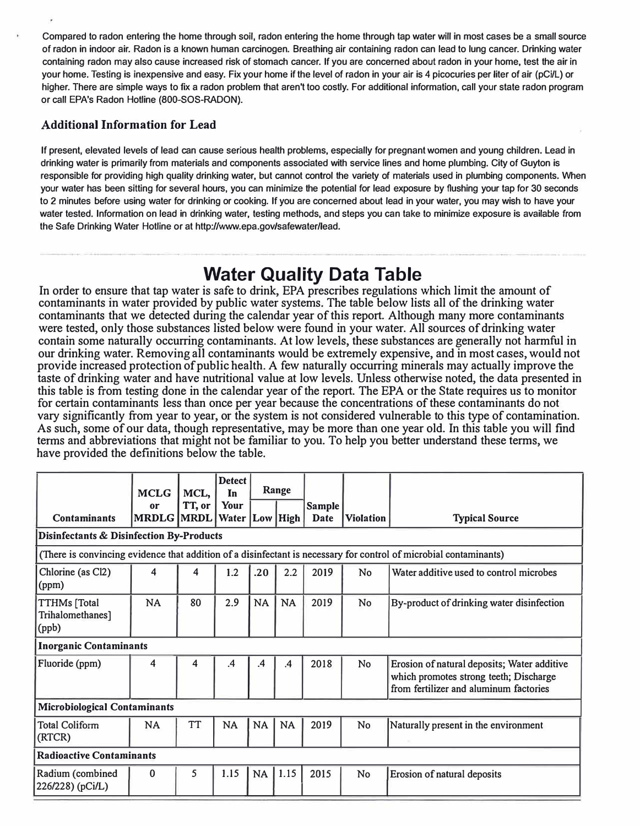Compared to radon entering the home through soil, radon entering the home through tap water will in most cases be a small source of radon in indoor air. Radon is a known human carcinogen. Breathing air containing radon can lead to lung cancer. Drinking water containing radon may also cause increased risk of stomach cancer. If you are concerned about radon in your home, test the air in your home. Testing is inexpensive and easy. Fix your home if the level of radon in your air is 4 picocuries per liter of air (pCi/L) or higher. There are simple ways to fix a radon problem that aren't too costly. For additional information, call your state radon program or call EPA's Radon Hotline (800-SOS-RADON).

# **Additional Information for Lead**

If present, elevated levels of lead can cause serious health problems, especially for pregnant women and young children. Lead in drinking water is primarily from materials and components associated with service lines and home plumbing. City of Guyton is responsible for providing high quality drinking water, but cannot control the variety of materials used in plumbing components. When your water has been sitting for several hours, you can minimize the potential for lead exposure by flushing your tap for 30 seconds to 2 minutes before using water for drinking or cooking. If you are concerned about lead in your water, you may wish to have your water tested. Information on lead in drinking water, testing methods, and steps you can take to minimize exposure is available from the Safe Drinking Water Hotline or at http://www.epa.gov/safewater/lead.

# **Water Quality Data Table**

In order to ensure that tap water is safe to drink, EPA prescribes regulations which limit the amount of contaminants in water provided by public water systems. The table below lists all of the drinking water contaminants that we detected during the calendar year of this report. Although many more contaminants were tested, only those substances listed below were found in your water. All sources of drinking water contain some naturally occurring contaminants. At low levels, these substances are generally not harmful in our drinking water. Removing alI contaminants would be extremely expensive, and in most cases, would not provide increased protection of public health. A few naturally occurring minerals may actually improve the taste of drinking water and have nutritional value at low levels. Unless otherwise noted, the data presented in this table is from testing done in the calendar year of the report. The EPA or the State requires us to monitor for certain contaminants less than once per year because the concentrations of these contaminants do not vary significantly from year to year, or the system is not considered vulnerable to this type of contamination. As such, some of our data, though representative, may be more than one year old. In this table you will find terms and abbreviations that might not be familiar to you. To help you better understand these terms, we have provided the definitions below the table.

|                                                                                                                   | <b>MCLG</b>             | MCL,      | <b>Detect</b><br>In        |           | Range         |                |                  |                                                                                                                                 |
|-------------------------------------------------------------------------------------------------------------------|-------------------------|-----------|----------------------------|-----------|---------------|----------------|------------------|---------------------------------------------------------------------------------------------------------------------------------|
| <b>Contaminants</b>                                                                                               | or<br><b>MRDLG MRDL</b> | TT, or    | Your<br>Water   Low   High |           |               | Sample<br>Date | <b>Violation</b> |                                                                                                                                 |
|                                                                                                                   |                         |           |                            |           |               |                |                  | <b>Typical Source</b>                                                                                                           |
| <b>Disinfectants &amp; Disinfection By-Products</b>                                                               |                         |           |                            |           |               |                |                  |                                                                                                                                 |
| (There is convincing evidence that addition of a disinfectant is necessary for control of microbial contaminants) |                         |           |                            |           |               |                |                  |                                                                                                                                 |
| Chlorine (as Cl2)<br>(ppm)                                                                                        | 4                       | 4         | 1.2                        | .20       | 2.2           | 2019           | <b>No</b>        | Water additive used to control microbes                                                                                         |
| <b>TTHMs</b> [Total<br>Trihalomethanes]<br>(ppb)                                                                  | <b>NA</b>               | 80        | 2.9                        | <b>NA</b> | <b>NA</b>     | 2019           | <b>No</b>        | By-product of drinking water disinfection                                                                                       |
| <b>Inorganic Contaminants</b>                                                                                     |                         |           |                            |           |               |                |                  |                                                                                                                                 |
| Fluoride (ppm)                                                                                                    | 4                       | 4         | $\cdot$                    | .4        | $\mathbf{.4}$ | 2018           | No               | Erosion of natural deposits; Water additive<br>which promotes strong teeth; Discharge<br>from fertilizer and aluminum factories |
| <b>Microbiological Contaminants</b>                                                                               |                         |           |                            |           |               |                |                  |                                                                                                                                 |
| <b>Total Coliform</b><br>(RTCR)                                                                                   | <b>NA</b>               | <b>TT</b> | <b>NA</b>                  | <b>NA</b> | <b>NA</b>     | 2019           | <b>No</b>        | Naturally present in the environment                                                                                            |
| <b>Radioactive Contaminants</b>                                                                                   |                         |           |                            |           |               |                |                  |                                                                                                                                 |
| Radium (combined<br>226/228) (pCi/L)                                                                              | $\mathbf{0}$            | 5         | 1.15                       | <b>NA</b> | 1.15          | 2015           | <b>No</b>        | Erosion of natural deposits                                                                                                     |